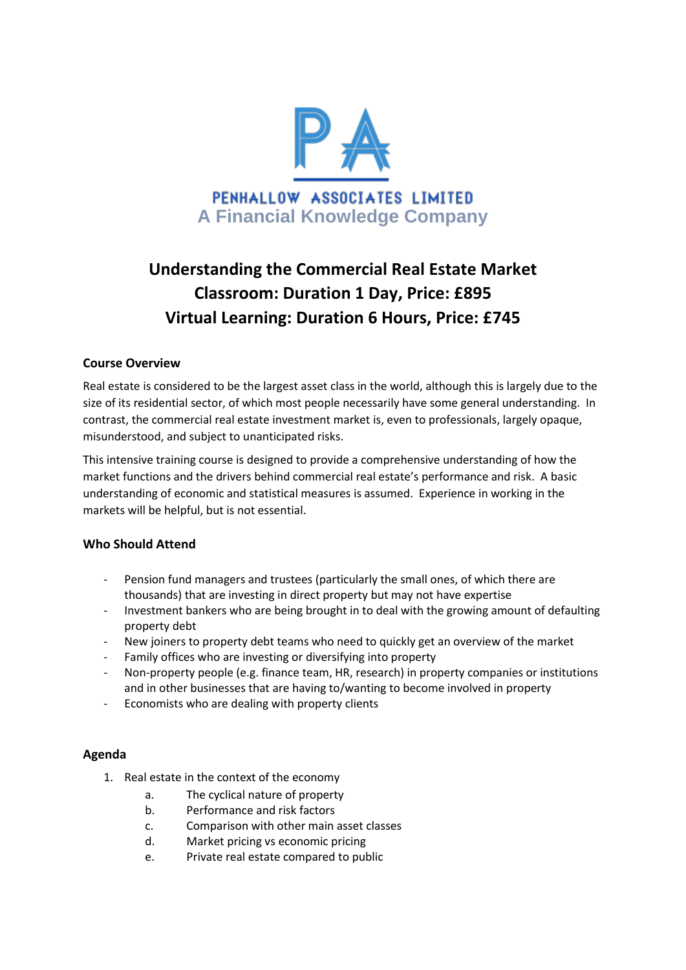

# **Understanding the Commercial Real Estate Market Classroom: Duration 1 Day, Price: £895 Virtual Learning: Duration 6 Hours, Price: £745**

# **Course Overview**

Real estate is considered to be the largest asset class in the world, although this is largely due to the size of its residential sector, of which most people necessarily have some general understanding. In contrast, the commercial real estate investment market is, even to professionals, largely opaque, misunderstood, and subject to unanticipated risks.

This intensive training course is designed to provide a comprehensive understanding of how the market functions and the drivers behind commercial real estate's performance and risk. A basic understanding of economic and statistical measures is assumed. Experience in working in the markets will be helpful, but is not essential.

#### **Who Should Attend**

- Pension fund managers and trustees (particularly the small ones, of which there are thousands) that are investing in direct property but may not have expertise
- Investment bankers who are being brought in to deal with the growing amount of defaulting property debt
- New joiners to property debt teams who need to quickly get an overview of the market
- Family offices who are investing or diversifying into property
- Non-property people (e.g. finance team, HR, research) in property companies or institutions and in other businesses that are having to/wanting to become involved in property
- Economists who are dealing with property clients

# **Agenda**

- 1. Real estate in the context of the economy
	- a. The cyclical nature of property
	- b. Performance and risk factors
	- c. Comparison with other main asset classes
	- d. Market pricing vs economic pricing
	- e. Private real estate compared to public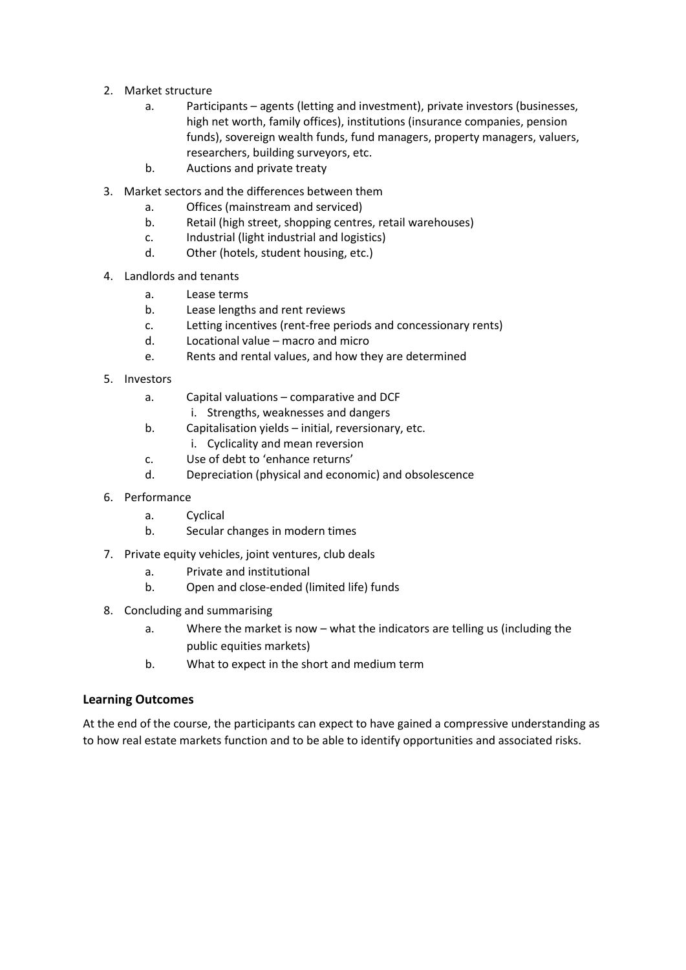- 2. Market structure
	- a. Participants agents (letting and investment), private investors (businesses, high net worth, family offices), institutions (insurance companies, pension funds), sovereign wealth funds, fund managers, property managers, valuers, researchers, building surveyors, etc.
	- b. Auctions and private treaty
- 3. Market sectors and the differences between them
	- a. Offices (mainstream and serviced)
	- b. Retail (high street, shopping centres, retail warehouses)
	- c. Industrial (light industrial and logistics)
	- d. Other (hotels, student housing, etc.)
- 4. Landlords and tenants
	- a. Lease terms
	- b. Lease lengths and rent reviews
	- c. Letting incentives (rent-free periods and concessionary rents)
	- d. Locational value macro and micro
	- e. Rents and rental values, and how they are determined
- 5. Investors
	- a. Capital valuations comparative and DCF
		- i. Strengths, weaknesses and dangers
	- b. Capitalisation yields initial, reversionary, etc.
		- i. Cyclicality and mean reversion
	- c. Use of debt to 'enhance returns'
	- d. Depreciation (physical and economic) and obsolescence
- 6. Performance
	- a. Cyclical
	- b. Secular changes in modern times
- 7. Private equity vehicles, joint ventures, club deals
	- a. Private and institutional
	- b. Open and close-ended (limited life) funds
- 8. Concluding and summarising
	- a. Where the market is now what the indicators are telling us (including the public equities markets)
	- b. What to expect in the short and medium term

#### **Learning Outcomes**

At the end of the course, the participants can expect to have gained a compressive understanding as to how real estate markets function and to be able to identify opportunities and associated risks.